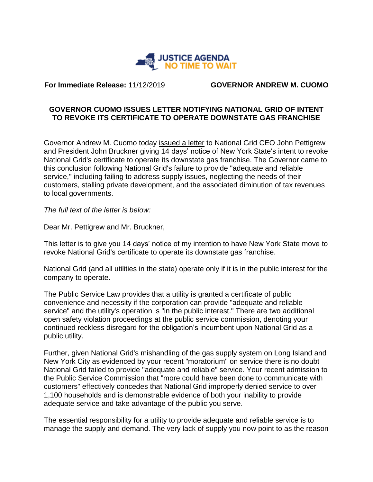

**For Immediate Release:** 11/12/2019 **GOVERNOR ANDREW M. CUOMO**

## **GOVERNOR CUOMO ISSUES LETTER NOTIFYING NATIONAL GRID OF INTENT TO REVOKE ITS CERTIFICATE TO OPERATE DOWNSTATE GAS FRANCHISE**

Governor Andrew M. Cuomo today issued a letter to National Grid CEO John Pettigrew and President John Bruckner giving 14 days' notice of New York State's intent to revoke National Grid's certificate to operate its downstate gas franchise. The Governor came to this conclusion following National Grid's failure to provide "adequate and reliable service," including failing to address supply issues, neglecting the needs of their customers, stalling private development, and the associated diminution of tax revenues to local governments.

*The full text of the letter is below:*

Dear Mr. Pettigrew and Mr. Bruckner,

This letter is to give you 14 days' notice of my intention to have New York State move to revoke National Grid's certificate to operate its downstate gas franchise.

National Grid (and all utilities in the state) operate only if it is in the public interest for the company to operate.

The Public Service Law provides that a utility is granted a certificate of public convenience and necessity if the corporation can provide "adequate and reliable service" and the utility's operation is "in the public interest." There are two additional open safety violation proceedings at the public service commission, denoting your continued reckless disregard for the obligation's incumbent upon National Grid as a public utility.

Further, given National Grid's mishandling of the gas supply system on Long Island and New York City as evidenced by your recent "moratorium" on service there is no doubt National Grid failed to provide "adequate and reliable" service. Your recent admission to the Public Service Commission that "more could have been done to communicate with customers" effectively concedes that National Grid improperly denied service to over 1,100 households and is demonstrable evidence of both your inability to provide adequate service and take advantage of the public you serve.

The essential responsibility for a utility to provide adequate and reliable service is to manage the supply and demand. The very lack of supply you now point to as the reason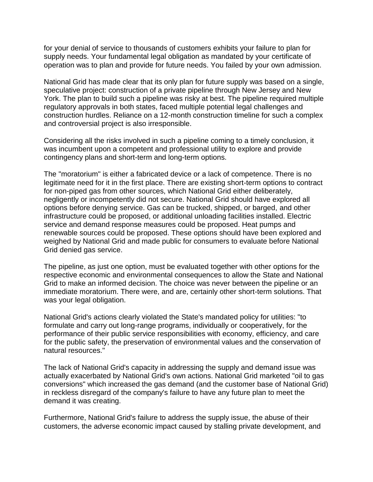for your denial of service to thousands of customers exhibits your failure to plan for supply needs. Your fundamental legal obligation as mandated by your certificate of operation was to plan and provide for future needs. You failed by your own admission.

National Grid has made clear that its only plan for future supply was based on a single, speculative project: construction of a private pipeline through New Jersey and New York. The plan to build such a pipeline was risky at best. The pipeline required multiple regulatory approvals in both states, faced multiple potential legal challenges and construction hurdles. Reliance on a 12-month construction timeline for such a complex and controversial project is also irresponsible.

Considering all the risks involved in such a pipeline coming to a timely conclusion, it was incumbent upon a competent and professional utility to explore and provide contingency plans and short-term and long-term options.

The "moratorium" is either a fabricated device or a lack of competence. There is no legitimate need for it in the first place. There are existing short-term options to contract for non-piped gas from other sources, which National Grid either deliberately, negligently or incompetently did not secure. National Grid should have explored all options before denying service. Gas can be trucked, shipped, or barged, and other infrastructure could be proposed, or additional unloading facilities installed. Electric service and demand response measures could be proposed. Heat pumps and renewable sources could be proposed. These options should have been explored and weighed by National Grid and made public for consumers to evaluate before National Grid denied gas service.

The pipeline, as just one option, must be evaluated together with other options for the respective economic and environmental consequences to allow the State and National Grid to make an informed decision. The choice was never between the pipeline or an immediate moratorium. There were, and are, certainly other short-term solutions. That was your legal obligation.

National Grid's actions clearly violated the State's mandated policy for utilities: "to formulate and carry out long-range programs, individually or cooperatively, for the performance of their public service responsibilities with economy, efficiency, and care for the public safety, the preservation of environmental values and the conservation of natural resources."

The lack of National Grid's capacity in addressing the supply and demand issue was actually exacerbated by National Grid's own actions. National Grid marketed "oil to gas conversions" which increased the gas demand (and the customer base of National Grid) in reckless disregard of the company's failure to have any future plan to meet the demand it was creating.

Furthermore, National Grid's failure to address the supply issue, the abuse of their customers, the adverse economic impact caused by stalling private development, and